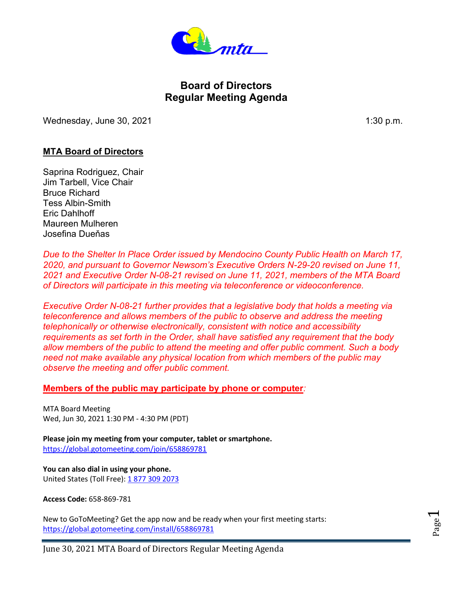

# **Board of Directors Regular Meeting Agenda**

Wednesday, June 30, 2021 1:30 p.m.

# **MTA Board of Directors**

Saprina Rodriguez, Chair Jim Tarbell, Vice Chair Bruce Richard Tess Albin-Smith Eric Dahlhoff Maureen Mulheren Josefina Dueňas

*Due to the Shelter In Place Order issued by Mendocino County Public Health on March 17, 2020, and pursuant to Governor Newsom's Executive Orders N-29-20 revised on June 11, 2021 and Executive Order N-08-21 revised on June 11, 2021, members of the MTA Board of Directors will participate in this meeting via teleconference or videoconference.*

*Executive Order N-08-21 further provides that a legislative body that holds a meeting via teleconference and allows members of the public to observe and address the meeting telephonically or otherwise electronically, consistent with notice and accessibility requirements as set forth in the Order, shall have satisfied any requirement that the body allow members of the public to attend the meeting and offer public comment. Such a body need not make available any physical location from which members of the public may observe the meeting and offer public comment.*

#### **Members of the public may participate by phone or computer***:*

MTA Board Meeting Wed, Jun 30, 2021 1:30 PM - 4:30 PM (PDT)

**Please join my meeting from your computer, tablet or smartphone.**  <https://global.gotomeeting.com/join/658869781>

**You can also dial in using your phone.** United States (Toll Free): [1 877 309 2073](tel:+18773092073,,658869781)

**Access Code:** 658-869-781

New to GoToMeeting? Get the app now and be ready when your first meeting starts: <https://global.gotomeeting.com/install/658869781>

Page  $\overline{\phantom{0}}$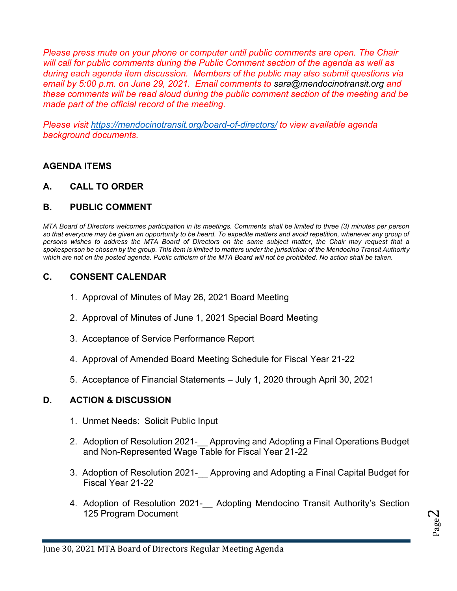*Please press mute on your phone or computer until public comments are open. The Chair will call for public comments during the Public Comment section of the agenda as well as during each agenda item discussion. Members of the public may also submit questions via email by 5:00 p.m. on June 29, 2021. Email comments to sara@mendocinotransit.org and these comments will be read aloud during the public comment section of the meeting and be made part of the official record of the meeting.* 

*Please visit <https://mendocinotransit.org/board-of-directors/> to view available agenda background documents.* 

## **AGENDA ITEMS**

**A. CALL TO ORDER**

# **B. PUBLIC COMMENT**

*MTA Board of Directors welcomes participation in its meetings. Comments shall be limited to three (3) minutes per person so that everyone may be given an opportunity to be heard. To expedite matters and avoid repetition, whenever any group of persons wishes to address the MTA Board of Directors on the same subject matter, the Chair may request that a spokesperson be chosen by the group. This item is limited to matters under the jurisdiction of the Mendocino Transit Authority which are not on the posted agenda. Public criticism of the MTA Board will not be prohibited. No action shall be taken.*

# **C. CONSENT CALENDAR**

- 1. Approval of Minutes of May 26, 2021 Board Meeting
- 2. Approval of Minutes of June 1, 2021 Special Board Meeting
- 3. Acceptance of Service Performance Report
- 4. Approval of Amended Board Meeting Schedule for Fiscal Year 21-22
- 5. Acceptance of Financial Statements July 1, 2020 through April 30, 2021

## **D. ACTION & DISCUSSION**

- 1. Unmet Needs: Solicit Public Input
- 2. Adoption of Resolution 2021-\_\_ Approving and Adopting a Final Operations Budget and Non-Represented Wage Table for Fiscal Year 21-22
- 3. Adoption of Resolution 2021-\_\_ Approving and Adopting a Final Capital Budget for Fiscal Year 21-22
- 4. Adoption of Resolution 2021- Adopting Mendocino Transit Authority's Section 125 Program Document